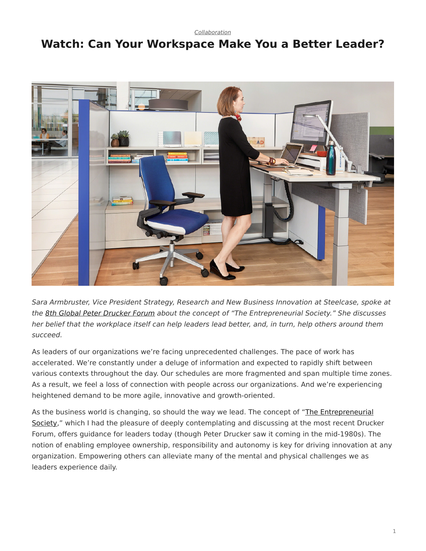*[Collaboration](https://www.steelcase.com/research/topics/collaboration/)*

## <span id="page-0-0"></span>**Watch: Can Your Workspace Make You a Better Leader?**



*Sara Armbruster, Vice President Strategy, Research and New Business Innovation at Steelcase, spoke at the [8th Global Peter Drucker Forum](https://www.druckerforum.org/blog/?p=1433) about the concept of "The Entrepreneurial Society." She discusses her belief that the workplace itself can help leaders lead better, and, in turn, help others around them succeed.*

As leaders of our organizations we're facing unprecedented challenges. The pace of work has accelerated. We're constantly under a deluge of information and expected to rapidly shift between various contexts throughout the day. Our schedules are more fragmented and span multiple time zones. As a result, we feel a loss of connection with people across our organizations. And we're experiencing heightened demand to be more agile, innovative and growth-oriented.

As the business world is changing, so should the way we lead. The concept of "[The Entrepreneurial](https://www.druckerforum.org/blog/?p=1433) [Society](https://www.druckerforum.org/blog/?p=1433)," which I had the pleasure of deeply contemplating and discussing at the most recent Drucker Forum, offers guidance for leaders today (though Peter Drucker saw it coming in the mid-1980s). The notion of enabling employee ownership, responsibility and autonomy is key for driving innovation at any organization. Empowering others can alleviate many of the mental and physical challenges we as leaders experience daily.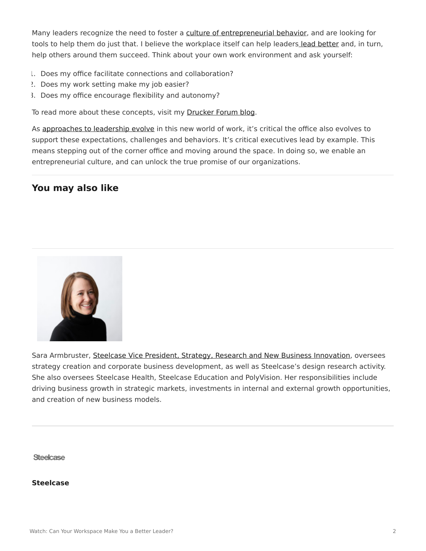Many leaders recognize the need to foster a [culture of entrepreneurial behavior](https://www.steelcase.com/insights/articles/igniting-a-sense-of-startup-culture/), and are looking for tools to help them do just that. I believe the workplace itself can help leaders [lead better](https://www.steelcase.com/insights/360-magazine/office-renaissance/) and, in turn, help others around them succeed. Think about your own work environment and ask yourself:

- 1. Does my office facilitate connections and collaboration?
- 2. Does my work setting make my job easier?
- 3. Does my office encourage flexibility and autonomy?

To read more about these concepts, visit my **Drucker Forum blog**.

As [approaches to leadership evolve](https://www.steelcase.com/insights/360-magazine/office-renaissance/) in this new world of work, it's critical the office also evolves to support these expectations, challenges and behaviors. It's critical executives lead by example. This means stepping out of the corner office and moving around the space. In doing so, we enable an entrepreneurial culture, and can unlock the true promise of our organizations.

## **You may also like**



Sara Armbruster, [Steelcase Vice President, Strategy, Research and New Business Innovation,](https://www.linkedin.com/pulse/higher-education-harnesses-power-physical-space-sara-armbruster?articleId=6199300992140484608) oversees strategy creation and corporate business development, as well as Steelcase's design research activity. She also oversees Steelcase Health, Steelcase Education and PolyVision. Her responsibilities include driving business growth in strategic markets, investments in internal and external growth opportunities, and creation of new business models.

**Steelcase** 

**[Steelcase](https://www.steelcase.com/research/articles/author/steelcase-360/)**